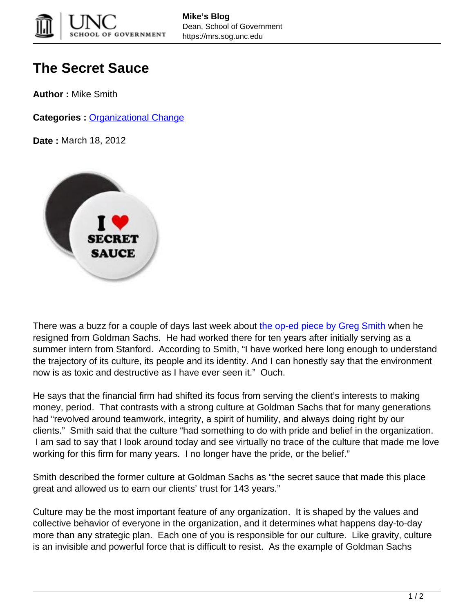

## **The Secret Sauce**

**Author :** Mike Smith

**Categories :** [Organizational Change](https://mrs.sog.unc.edu/category/organizational/)

**Date :** March 18, 2012



There was a buzz for a couple of days last week about [the op-ed piece by Greg Smith](http://www.nytimes.com/2012/03/14/opinion/why-i-am-leaving-goldman-sachs.html?_r=1) when he resigned from Goldman Sachs. He had worked there for ten years after initially serving as a summer intern from Stanford. According to Smith, "I have worked here long enough to understand the trajectory of its culture, its people and its identity. And I can honestly say that the environment now is as toxic and destructive as I have ever seen it." Ouch.

He says that the financial firm had shifted its focus from serving the client's interests to making money, period. That contrasts with a strong culture at Goldman Sachs that for many generations had "revolved around teamwork, integrity, a spirit of humility, and always doing right by our clients." Smith said that the culture "had something to do with pride and belief in the organization. I am sad to say that I look around today and see virtually no trace of the culture that made me love working for this firm for many years. I no longer have the pride, or the belief."

Smith described the former culture at Goldman Sachs as "the secret sauce that made this place great and allowed us to earn our clients' trust for 143 years."

Culture may be the most important feature of any organization. It is shaped by the values and collective behavior of everyone in the organization, and it determines what happens day-to-day more than any strategic plan. Each one of you is responsible for our culture. Like gravity, culture is an invisible and powerful force that is difficult to resist. As the example of Goldman Sachs